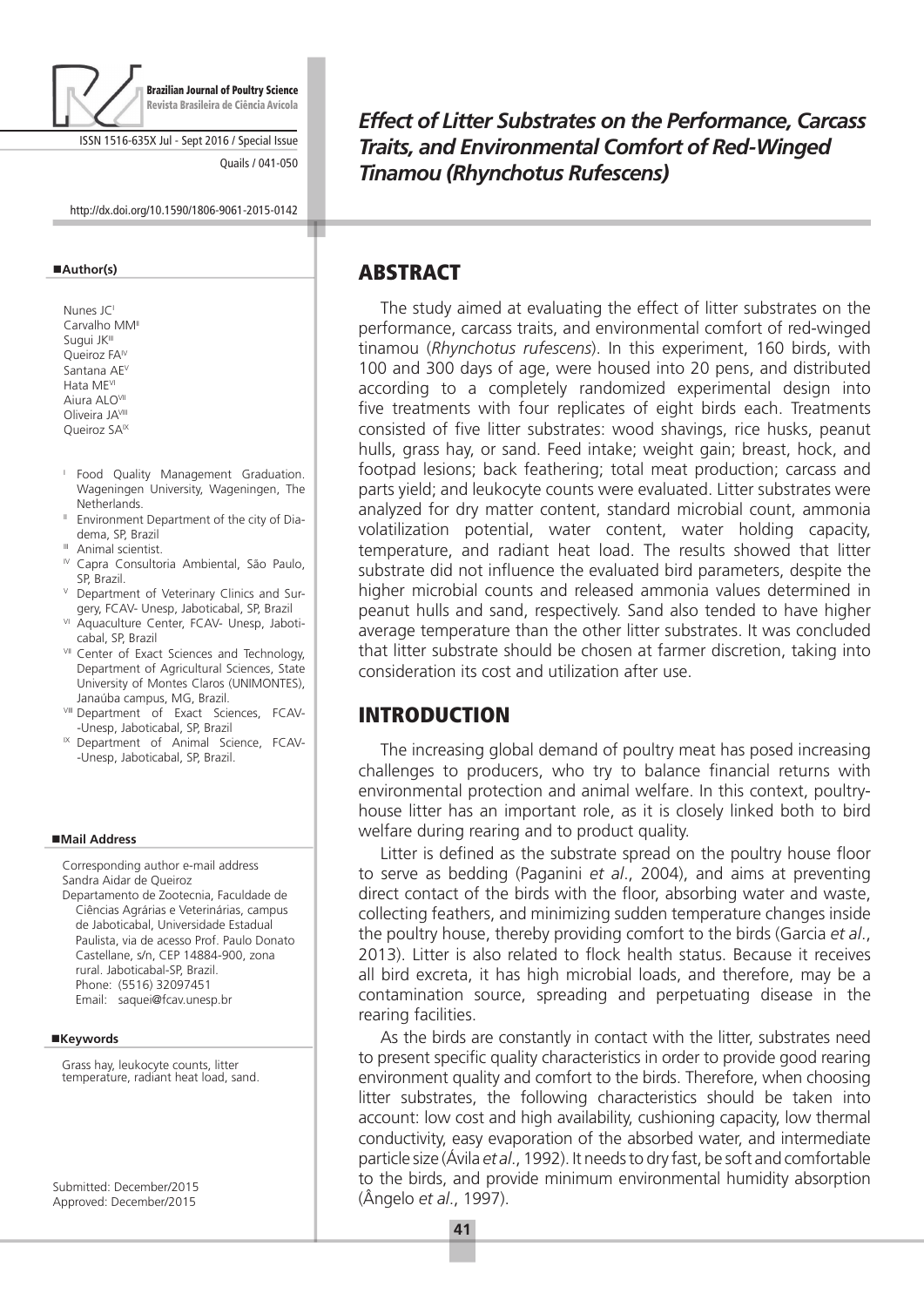

ISSN 1516-635X Jul - Sept 2016 / Special Issue

Quails / 041-050

http://dx.doi.org/10.1590/1806-9061-2015-0142

#### **Author(s)**

Nunes JCI Carvalho MM<sup>II</sup> Sugui JK<sup>III</sup> Queiroz FA<sup>IV</sup> Santana AEV Hata MEVI Aiura ALOVII Oliveira JA<sup>VIII</sup> Queiroz SAIX

- <sup>1</sup> Food Quality Management Graduation. Wageningen University, Wageningen, The Netherlands.
- II Environment Department of the city of Diadema, SP, Brazil
- Animal scientist.
- <sup>IV</sup> Capra Consultoria Ambiental, São Paulo, SP, Brazil.
- <sup>V</sup> Department of Veterinary Clinics and Surgery, FCAV- Unesp, Jaboticabal, SP, Brazil
- vi Aquaculture Center, FCAV- Unesp, Jaboticabal, SP, Brazil
- **VII** Center of Exact Sciences and Technology, Department of Agricultural Sciences, State University of Montes Claros (UNIMONTES), Janaúba campus, MG, Brazil.
- **VIII Department** of Exact Sciences, FCAV--Unesp, Jaboticabal, SP, Brazil
- <sup>IX</sup> Department of Animal Science, FCAV--Unesp, Jaboticabal, SP, Brazil.

#### **Mail Address**

Corresponding author e-mail address Sandra Aidar de Queiroz Departamento de Zootecnia, Faculdade de Ciências Agrárias e Veterinárias, campus de Jaboticabal, Universidade Estadual Paulista, via de acesso Prof. Paulo Donato Castellane, s/n, CEP 14884-900, zona rural. Jaboticabal-SP, Brazil. Phone: (5516) 32097451 Email: saquei@fcav.unesp.br

#### **■Keywords**

Grass hay, leukocyte counts, litter temperature, radiant heat load, sand.

Submitted: December/2015 Approved: December/2015

*Effect of Litter Substrates on the Performance, Carcass Traits, and Environmental Comfort of Red-Winged Tinamou (Rhynchotus Rufescens)*

### ABSTRACT

The study aimed at evaluating the effect of litter substrates on the performance, carcass traits, and environmental comfort of red-winged tinamou (*Rhynchotus rufescens*). In this experiment, 160 birds, with 100 and 300 days of age, were housed into 20 pens, and distributed according to a completely randomized experimental design into five treatments with four replicates of eight birds each. Treatments consisted of five litter substrates: wood shavings, rice husks, peanut hulls, grass hay, or sand. Feed intake; weight gain; breast, hock, and footpad lesions; back feathering; total meat production; carcass and parts yield; and leukocyte counts were evaluated. Litter substrates were analyzed for dry matter content, standard microbial count, ammonia volatilization potential, water content, water holding capacity, temperature, and radiant heat load. The results showed that litter substrate did not influence the evaluated bird parameters, despite the higher microbial counts and released ammonia values determined in peanut hulls and sand, respectively. Sand also tended to have higher average temperature than the other litter substrates. It was concluded that litter substrate should be chosen at farmer discretion, taking into consideration its cost and utilization after use.

### INTRODUCTION

The increasing global demand of poultry meat has posed increasing challenges to producers, who try to balance financial returns with environmental protection and animal welfare. In this context, poultryhouse litter has an important role, as it is closely linked both to bird welfare during rearing and to product quality.

Litter is defined as the substrate spread on the poultry house floor to serve as bedding (Paganini *et al*., 2004), and aims at preventing direct contact of the birds with the floor, absorbing water and waste, collecting feathers, and minimizing sudden temperature changes inside the poultry house, thereby providing comfort to the birds (Garcia *et al*., 2013). Litter is also related to flock health status. Because it receives all bird excreta, it has high microbial loads, and therefore, may be a contamination source, spreading and perpetuating disease in the rearing facilities.

As the birds are constantly in contact with the litter, substrates need to present specific quality characteristics in order to provide good rearing environment quality and comfort to the birds. Therefore, when choosing litter substrates, the following characteristics should be taken into account: low cost and high availability, cushioning capacity, low thermal conductivity, easy evaporation of the absorbed water, and intermediate particle size (Ávila *et al*., 1992). It needs to dry fast, be soft and comfortable to the birds, and provide minimum environmental humidity absorption (Ângelo *et al*., 1997).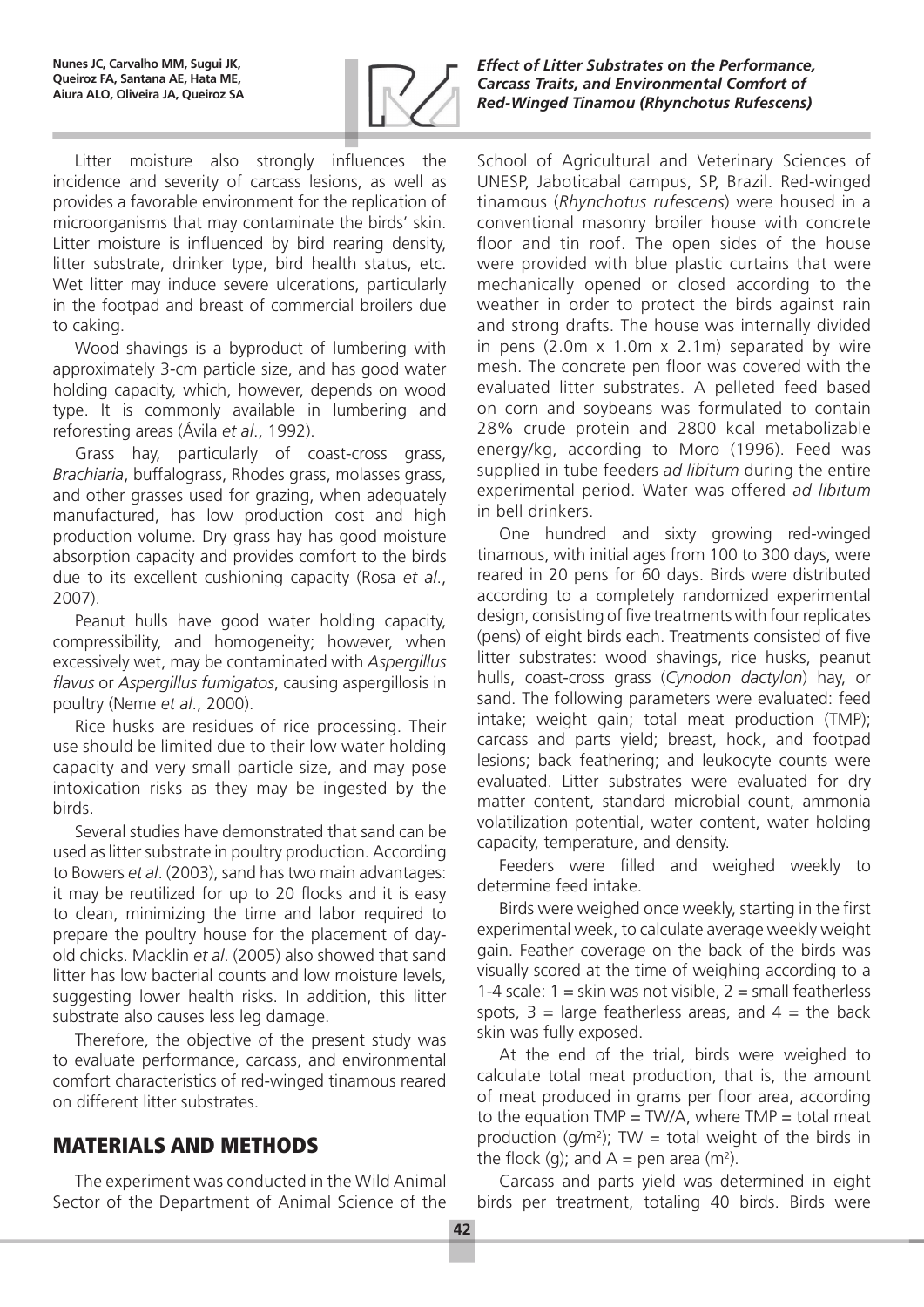

Litter moisture also strongly influences the incidence and severity of carcass lesions, as well as provides a favorable environment for the replication of microorganisms that may contaminate the birds' skin. Litter moisture is influenced by bird rearing density, litter substrate, drinker type, bird health status, etc. Wet litter may induce severe ulcerations, particularly in the footpad and breast of commercial broilers due to caking.

Wood shavings is a byproduct of lumbering with approximately 3-cm particle size, and has good water holding capacity, which, however, depends on wood type. It is commonly available in lumbering and reforesting areas (Ávila *et al*., 1992).

Grass hay, particularly of coast-cross grass, *Brachiaria*, buffalograss, Rhodes grass, molasses grass, and other grasses used for grazing, when adequately manufactured, has low production cost and high production volume. Dry grass hay has good moisture absorption capacity and provides comfort to the birds due to its excellent cushioning capacity (Rosa *et al*., 2007).

Peanut hulls have good water holding capacity, compressibility, and homogeneity; however, when excessively wet, may be contaminated with *Aspergillus flavus* or *Aspergillus fumigatos*, causing aspergillosis in poultry (Neme *et al*., 2000).

Rice husks are residues of rice processing. Their use should be limited due to their low water holding capacity and very small particle size, and may pose intoxication risks as they may be ingested by the birds.

Several studies have demonstrated that sand can be used as litter substrate in poultry production. According to Bowers *et al*. (2003), sand has two main advantages: it may be reutilized for up to 20 flocks and it is easy to clean, minimizing the time and labor required to prepare the poultry house for the placement of dayold chicks. Macklin *et al*. (2005) also showed that sand litter has low bacterial counts and low moisture levels, suggesting lower health risks. In addition, this litter substrate also causes less leg damage.

Therefore, the objective of the present study was to evaluate performance, carcass, and environmental comfort characteristics of red-winged tinamous reared on different litter substrates.

## MATERIALS AND METHODS

The experiment was conducted in the Wild Animal Sector of the Department of Animal Science of the *Effect of Litter Substrates on the Performance, Carcass Traits, and Environmental Comfort of Red-Winged Tinamou (Rhynchotus Rufescens)*

School of Agricultural and Veterinary Sciences of UNESP, Jaboticabal campus, SP, Brazil. Red-winged tinamous (*Rhynchotus rufescens*) were housed in a conventional masonry broiler house with concrete floor and tin roof. The open sides of the house were provided with blue plastic curtains that were mechanically opened or closed according to the weather in order to protect the birds against rain and strong drafts. The house was internally divided in pens (2.0m x 1.0m x 2.1m) separated by wire mesh. The concrete pen floor was covered with the evaluated litter substrates. A pelleted feed based on corn and soybeans was formulated to contain 28% crude protein and 2800 kcal metabolizable energy/kg, according to Moro (1996). Feed was supplied in tube feeders *ad libitum* during the entire experimental period. Water was offered *ad libitum* in bell drinkers.

One hundred and sixty growing red-winged tinamous, with initial ages from 100 to 300 days, were reared in 20 pens for 60 days. Birds were distributed according to a completely randomized experimental design, consisting of five treatments with four replicates (pens) of eight birds each. Treatments consisted of five litter substrates: wood shavings, rice husks, peanut hulls, coast-cross grass (*Cynodon dactylon*) hay, or sand. The following parameters were evaluated: feed intake; weight gain; total meat production (TMP); carcass and parts yield; breast, hock, and footpad lesions; back feathering; and leukocyte counts were evaluated. Litter substrates were evaluated for dry matter content, standard microbial count, ammonia volatilization potential, water content, water holding capacity, temperature, and density.

Feeders were filled and weighed weekly to determine feed intake.

Birds were weighed once weekly, starting in the first experimental week, to calculate average weekly weight gain. Feather coverage on the back of the birds was visually scored at the time of weighing according to a 1-4 scale:  $1 =$  skin was not visible,  $2 =$  small featherless spots,  $3 =$  large featherless areas, and  $4 =$  the back skin was fully exposed.

At the end of the trial, birds were weighed to calculate total meat production, that is, the amount of meat produced in grams per floor area, according to the equation  $TMP = TW/A$ , where  $TMP = total$  meat production  $(g/m^2)$ ; TW = total weight of the birds in the flock (g); and  $A =$  pen area (m<sup>2</sup>).

Carcass and parts yield was determined in eight birds per treatment, totaling 40 birds. Birds were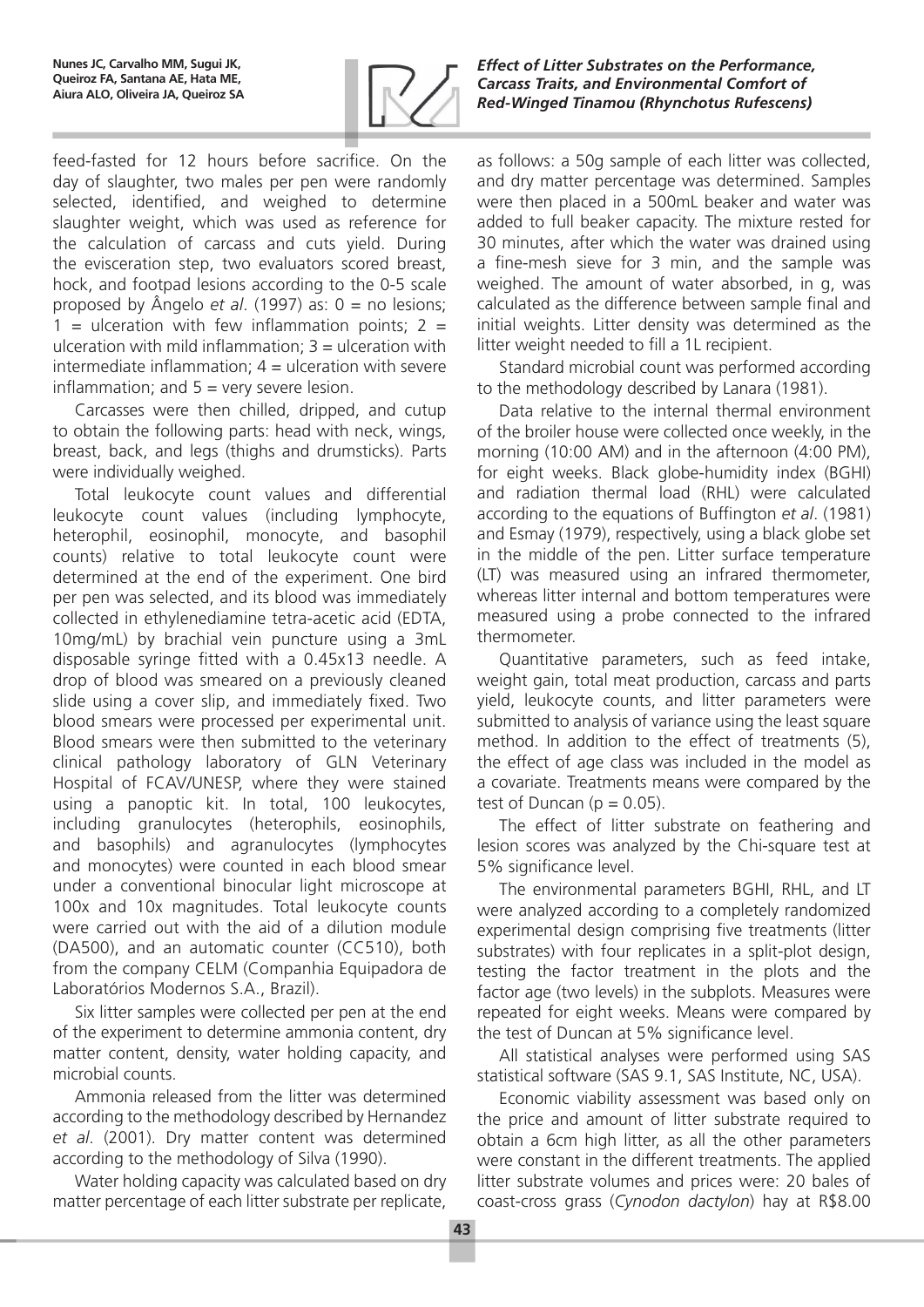

*Effect of Litter Substrates on the Performance, Carcass Traits, and Environmental Comfort of Red-Winged Tinamou (Rhynchotus Rufescens)*

feed-fasted for 12 hours before sacrifice. On the day of slaughter, two males per pen were randomly selected, identified, and weighed to determine slaughter weight, which was used as reference for the calculation of carcass and cuts yield. During the evisceration step, two evaluators scored breast, hock, and footpad lesions according to the 0-5 scale proposed by Ângelo *et al*. (1997) as: 0 = no lesions; 1 = ulceration with few inflammation points;  $2 =$ ulceration with mild inflammation;  $3 =$  ulceration with intermediate inflammation:  $4 =$  ulceration with severe inflammation; and  $5 =$  very severe lesion.

Carcasses were then chilled, dripped, and cutup to obtain the following parts: head with neck, wings, breast, back, and legs (thighs and drumsticks). Parts were individually weighed.

Total leukocyte count values and differential leukocyte count values (including lymphocyte, heterophil, eosinophil, monocyte, and basophil counts) relative to total leukocyte count were determined at the end of the experiment. One bird per pen was selected, and its blood was immediately collected in ethylenediamine tetra-acetic acid (EDTA, 10mg/mL) by brachial vein puncture using a 3mL disposable syringe fitted with a 0.45x13 needle. A drop of blood was smeared on a previously cleaned slide using a cover slip, and immediately fixed. Two blood smears were processed per experimental unit. Blood smears were then submitted to the veterinary clinical pathology laboratory of GLN Veterinary Hospital of FCAV/UNESP, where they were stained using a panoptic kit. In total, 100 leukocytes, including granulocytes (heterophils, eosinophils, and basophils) and agranulocytes (lymphocytes and monocytes) were counted in each blood smear under a conventional binocular light microscope at 100x and 10x magnitudes. Total leukocyte counts were carried out with the aid of a dilution module (DA500), and an automatic counter (CC510), both from the company CELM (Companhia Equipadora de Laboratórios Modernos S.A., Brazil).

Six litter samples were collected per pen at the end of the experiment to determine ammonia content, dry matter content, density, water holding capacity, and microbial counts.

Ammonia released from the litter was determined according to the methodology described by Hernandez *et al*. (2001). Dry matter content was determined according to the methodology of Silva (1990).

Water holding capacity was calculated based on dry matter percentage of each litter substrate per replicate,

as follows: a 50g sample of each litter was collected, and dry matter percentage was determined. Samples were then placed in a 500mL beaker and water was added to full beaker capacity. The mixture rested for 30 minutes, after which the water was drained using a fine-mesh sieve for 3 min, and the sample was weighed. The amount of water absorbed, in g, was calculated as the difference between sample final and initial weights. Litter density was determined as the litter weight needed to fill a 1L recipient.

Standard microbial count was performed according to the methodology described by Lanara (1981).

Data relative to the internal thermal environment of the broiler house were collected once weekly, in the morning (10:00 AM) and in the afternoon (4:00 PM), for eight weeks. Black globe-humidity index (BGHI) and radiation thermal load (RHL) were calculated according to the equations of Buffington *et al*. (1981) and Esmay (1979), respectively, using a black globe set in the middle of the pen. Litter surface temperature (LT) was measured using an infrared thermometer, whereas litter internal and bottom temperatures were measured using a probe connected to the infrared thermometer.

Quantitative parameters, such as feed intake, weight gain, total meat production, carcass and parts yield, leukocyte counts, and litter parameters were submitted to analysis of variance using the least square method. In addition to the effect of treatments (5), the effect of age class was included in the model as a covariate. Treatments means were compared by the test of Duncan ( $p = 0.05$ ).

The effect of litter substrate on feathering and lesion scores was analyzed by the Chi-square test at 5% significance level.

The environmental parameters BGHI, RHL, and LT were analyzed according to a completely randomized experimental design comprising five treatments (litter substrates) with four replicates in a split-plot design, testing the factor treatment in the plots and the factor age (two levels) in the subplots. Measures were repeated for eight weeks. Means were compared by the test of Duncan at 5% significance level.

All statistical analyses were performed using SAS statistical software (SAS 9.1, SAS Institute, NC, USA).

Economic viability assessment was based only on the price and amount of litter substrate required to obtain a 6cm high litter, as all the other parameters were constant in the different treatments. The applied litter substrate volumes and prices were: 20 bales of coast-cross grass (*Cynodon dactylon*) hay at R\$8.00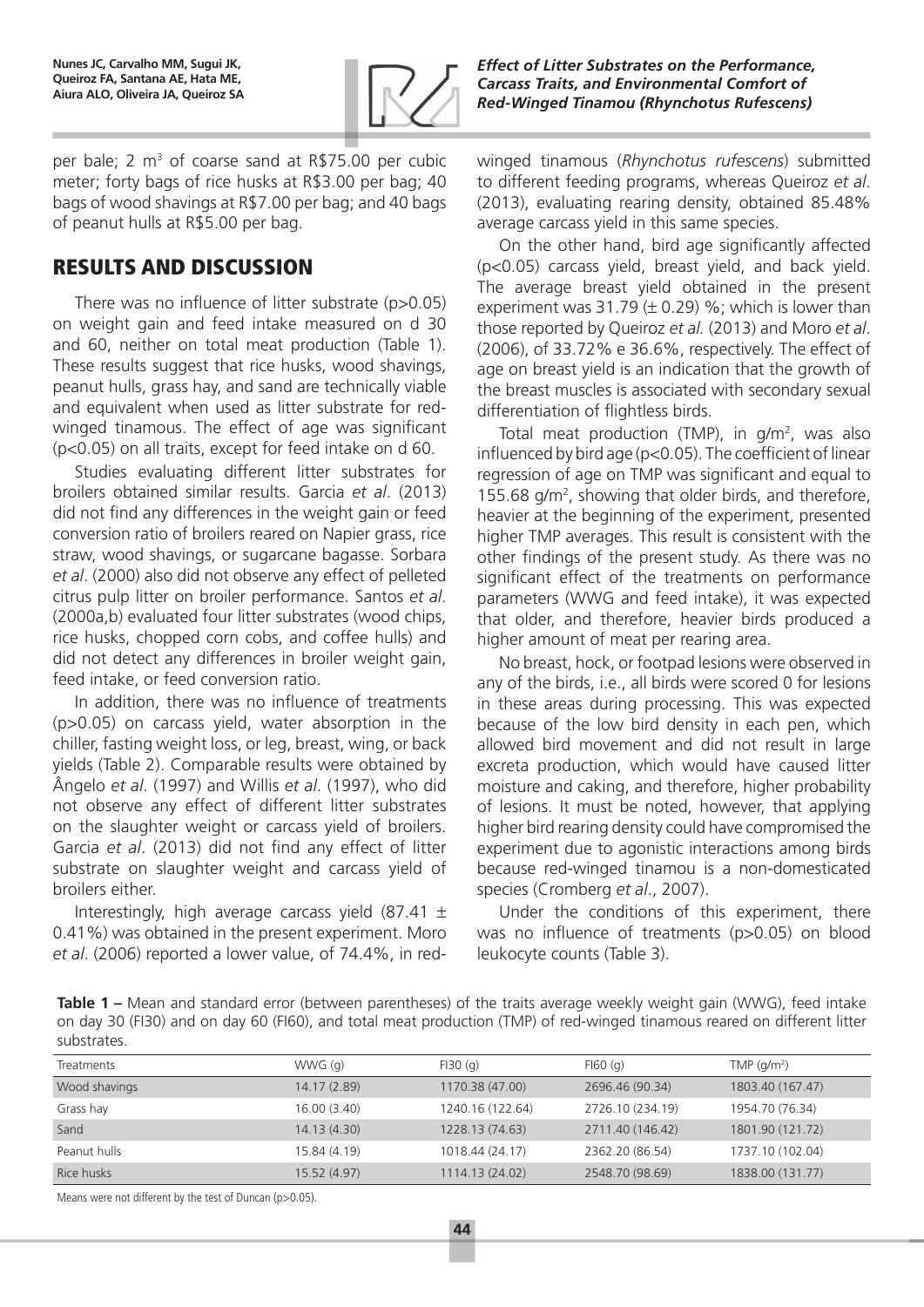

per bale; 2  $m<sup>3</sup>$  of coarse sand at R\$75.00 per cubic meter; forty bags of rice husks at R\$3.00 per bag; 40 bags of wood shavings at R\$7.00 per bag; and 40 bags of peanut hulls at R\$5.00 per bag.

# RESULTS AND DISCUSSION

There was no influence of litter substrate (p>0.05) on weight gain and feed intake measured on d 30 and 60, neither on total meat production (Table 1). These results suggest that rice husks, wood shavings, peanut hulls, grass hay, and sand are technically viable and equivalent when used as litter substrate for redwinged tinamous. The effect of age was significant (p<0.05) on all traits, except for feed intake on d 60.

Studies evaluating different litter substrates for broilers obtained similar results. Garcia *et al*. (2013) did not find any differences in the weight gain or feed conversion ratio of broilers reared on Napier grass, rice straw, wood shavings, or sugarcane bagasse. Sorbara *et al*. (2000) also did not observe any effect of pelleted citrus pulp litter on broiler performance. Santos *et al*. (2000a,b) evaluated four litter substrates (wood chips, rice husks, chopped corn cobs, and coffee hulls) and did not detect any differences in broiler weight gain, feed intake, or feed conversion ratio.

In addition, there was no influence of treatments (p>0.05) on carcass yield, water absorption in the chiller, fasting weight loss, or leg, breast, wing, or back yields (Table 2). Comparable results were obtained by Ângelo *et al*. (1997) and Willis *et al*. (1997), who did not observe any effect of different litter substrates on the slaughter weight or carcass yield of broilers. Garcia *et al*. (2013) did not find any effect of litter substrate on slaughter weight and carcass yield of broilers either.

Interestingly, high average carcass yield  $(87.41 \pm$ 0.41%) was obtained in the present experiment. Moro *et al*. (2006) reported a lower value, of 74.4%, in redwinged tinamous (*Rhynchotus rufescens*) submitted to different feeding programs, whereas Queiroz *et al*. (2013), evaluating rearing density, obtained 85.48%

*Effect of Litter Substrates on the Performance, Carcass Traits, and Environmental Comfort of Red-Winged Tinamou (Rhynchotus Rufescens)*

average carcass yield in this same species. On the other hand, bird age significantly affected (p<0.05) carcass yield, breast yield, and back yield. The average breast yield obtained in the present experiment was 31.79  $(\pm 0.29)$  %; which is lower than those reported by Queiroz *et al.* (2013) and Moro *et al*. (2006), of 33.72% e 36.6%, respectively. The effect of age on breast yield is an indication that the growth of the breast muscles is associated with secondary sexual differentiation of flightless birds.

Total meat production (TMP), in  $g/m^2$ , was also influenced by bird age (p<0.05). The coefficient of linear regression of age on TMP was significant and equal to 155.68 g/m2 , showing that older birds, and therefore, heavier at the beginning of the experiment, presented higher TMP averages. This result is consistent with the other findings of the present study. As there was no significant effect of the treatments on performance parameters (WWG and feed intake), it was expected that older, and therefore, heavier birds produced a higher amount of meat per rearing area.

No breast, hock, or footpad lesions were observed in any of the birds, i.e., all birds were scored 0 for lesions in these areas during processing. This was expected because of the low bird density in each pen, which allowed bird movement and did not result in large excreta production, which would have caused litter moisture and caking, and therefore, higher probability of lesions. It must be noted, however, that applying higher bird rearing density could have compromised the experiment due to agonistic interactions among birds because red-winged tinamou is a non-domesticated species (Cromberg *et al*., 2007).

Under the conditions of this experiment, there was no influence of treatments (p>0.05) on blood leukocyte counts (Table 3).

**Table 1 –** Mean and standard error (between parentheses) of the traits average weekly weight gain (WWG), feed intake on day 30 (FI30) and on day 60 (FI60), and total meat production (TMP) of red-winged tinamous reared on different litter substrates.

| Treatments    | WWG (q)      | F130(q)          | F160(q)          | TMP $(q/m2)$     |
|---------------|--------------|------------------|------------------|------------------|
| Wood shavings | 14.17 (2.89) | 1170.38 (47.00)  | 2696.46 (90.34)  | 1803.40 (167.47) |
| Grass hay     | 16.00(3.40)  | 1240.16 (122.64) | 2726.10 (234.19) | 1954.70 (76.34)  |
| Sand          | 14.13(4.30)  | 1228.13 (74.63)  | 2711.40 (146.42) | 1801.90 (121.72) |
| Peanut hulls  | 15.84 (4.19) | 1018.44 (24.17)  | 2362.20 (86.54)  | 1737.10 (102.04) |
| Rice husks    | 15.52(4.97)  | 1114.13 (24.02)  | 2548.70 (98.69)  | 1838.00 (131.77) |

Means were not different by the test of Duncan (p>0.05).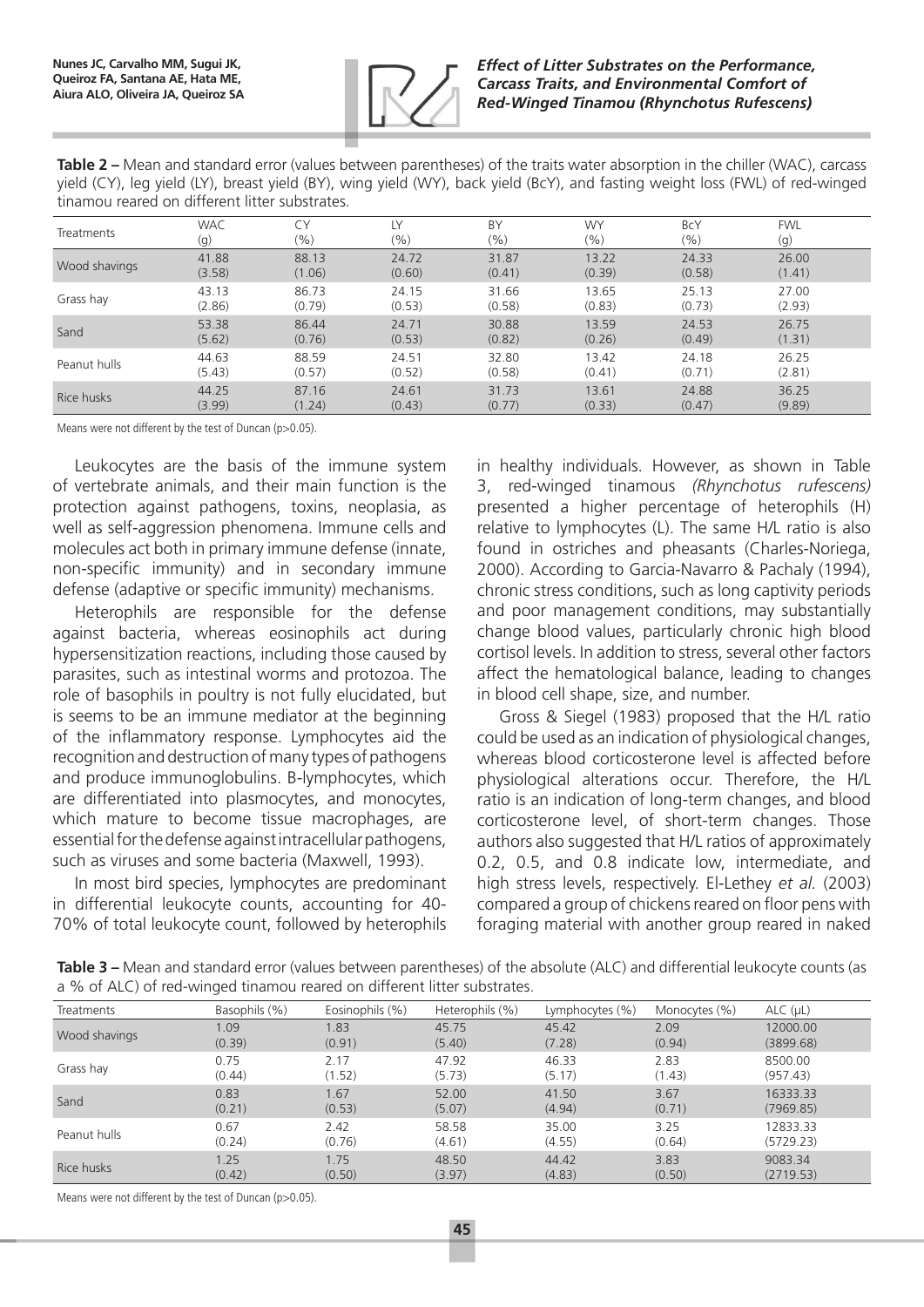

**Table 2 –** Mean and standard error (values between parentheses) of the traits water absorption in the chiller (WAC), carcass yield (CY), leg yield (LY), breast yield (BY), wing yield (WY), back yield (BcY), and fasting weight loss (FWL) of red-winged tinamou reared on different litter substrates.

| Treatments    | <b>WAC</b> | СY     | LY     | BY     | <b>WY</b> | <b>BcY</b> | <b>FWL</b> |
|---------------|------------|--------|--------|--------|-----------|------------|------------|
|               | (g)        | (9/0)  | (9/0)  | (% )   | $(\% )$   | (%)        | (q)        |
| Wood shavings | 41.88      | 88.13  | 24.72  | 31.87  | 13.22     | 24.33      | 26.00      |
|               | (3.58)     | (1.06) | (0.60) | (0.41) | (0.39)    | (0.58)     | (1.41)     |
| Grass hay     | 43.13      | 86.73  | 24.15  | 31.66  | 13.65     | 25.13      | 27.00      |
|               | (2.86)     | (0.79) | (0.53) | (0.58) | (0.83)    | (0.73)     | (2.93)     |
| Sand          | 53.38      | 86.44  | 24.71  | 30.88  | 13.59     | 24.53      | 26.75      |
|               | (5.62)     | (0.76) | (0.53) | (0.82) | (0.26)    | (0.49)     | (1.31)     |
| Peanut hulls  | 44.63      | 88.59  | 24.51  | 32.80  | 13.42     | 24.18      | 26.25      |
|               | (5.43)     | (0.57) | (0.52) | (0.58) | (0.41)    | (0.71)     | (2.81)     |
| Rice husks    | 44.25      | 87.16  | 24.61  | 31.73  | 13.61     | 24.88      | 36.25      |
|               | (3.99)     | (1.24) | (0.43) | (0.77) | (0.33)    | (0.47)     | (9.89)     |

Means were not different by the test of Duncan (p>0.05).

Leukocytes are the basis of the immune system of vertebrate animals, and their main function is the protection against pathogens, toxins, neoplasia, as well as self-aggression phenomena. Immune cells and molecules act both in primary immune defense (innate, non-specific immunity) and in secondary immune defense (adaptive or specific immunity) mechanisms.

Heterophils are responsible for the defense against bacteria, whereas eosinophils act during hypersensitization reactions, including those caused by parasites, such as intestinal worms and protozoa. The role of basophils in poultry is not fully elucidated, but is seems to be an immune mediator at the beginning of the inflammatory response. Lymphocytes aid the recognition and destruction of many types of pathogens and produce immunoglobulins. B-lymphocytes, which are differentiated into plasmocytes, and monocytes, which mature to become tissue macrophages, are essential for the defense against intracellular pathogens, such as viruses and some bacteria (Maxwell, 1993).

In most bird species, lymphocytes are predominant in differential leukocyte counts, accounting for 40- 70% of total leukocyte count, followed by heterophils in healthy individuals. However, as shown in Table 3, red-winged tinamous *(Rhynchotus rufescens)* presented a higher percentage of heterophils (H) relative to lymphocytes (L). The same H/L ratio is also found in ostriches and pheasants (Charles-Noriega, 2000). According to Garcia-Navarro & Pachaly (1994), chronic stress conditions, such as long captivity periods and poor management conditions, may substantially change blood values, particularly chronic high blood cortisol levels. In addition to stress, several other factors affect the hematological balance, leading to changes in blood cell shape, size, and number.

Gross & Siegel (1983) proposed that the H/L ratio could be used as an indication of physiological changes, whereas blood corticosterone level is affected before physiological alterations occur. Therefore, the H/L ratio is an indication of long-term changes, and blood corticosterone level, of short-term changes. Those authors also suggested that H/L ratios of approximately 0.2, 0.5, and 0.8 indicate low, intermediate, and high stress levels, respectively. El-Lethey *et al.* (2003) compared a group of chickens reared on floor pens with foraging material with another group reared in naked

**Table 3 –** Mean and standard error (values between parentheses) of the absolute (ALC) and differential leukocyte counts (as a % of ALC) of red-winged tinamou reared on different litter substrates.

| Treatments    | Basophils (%) | Eosinophils (%) | Heterophils (%) | Lymphocytes (%) | Monocytes (%) | $ALC(\mu L)$ |
|---------------|---------------|-----------------|-----------------|-----------------|---------------|--------------|
| Wood shavings | 1.09          | 1.83            | 45.75           | 45.42           | 2.09          | 12000.00     |
|               | (0.39)        | (0.91)          | (5.40)          | (7.28)          | (0.94)        | (3899.68)    |
| Grass hay     | 0.75          | 2.17            | 47.92           | 46.33           | 2.83          | 8500.00      |
|               | (0.44)        | (1.52)          | (5.73)          | (5.17)          | (1.43)        | (957.43)     |
| Sand          | 0.83          | 1.67            | 52.00           | 41.50           | 3.67          | 16333.33     |
|               | (0.21)        | (0.53)          | (5.07)          | (4.94)          | (0.71)        | (7969.85)    |
| Peanut hulls  | 0.67          | 2.42            | 58.58           | 35.00           | 3.25          | 12833.33     |
|               | (0.24)        | (0.76)          | (4.61)          | (4.55)          | (0.64)        | (5729.23)    |
| Rice husks    | 1.25          | 1.75            | 48.50           | 44.42           | 3.83          | 9083.34      |
|               | (0.42)        | (0.50)          | (3.97)          | (4.83)          | (0.50)        | (2719.53)    |

Means were not different by the test of Duncan (p>0.05).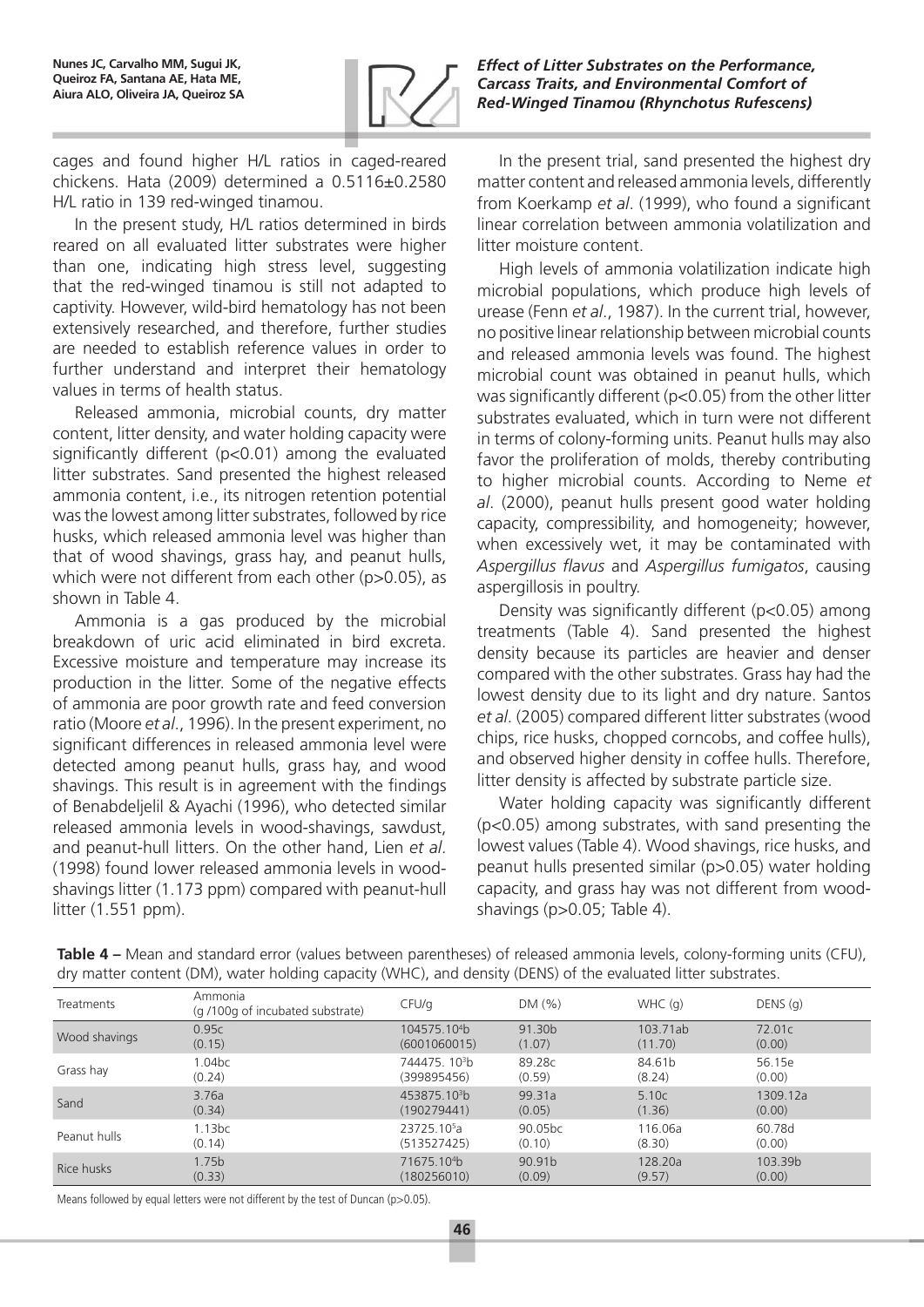

cages and found higher H/L ratios in caged-reared chickens. Hata (2009) determined a 0.5116±0.2580 H/L ratio in 139 red-winged tinamou.

In the present study, H/L ratios determined in birds reared on all evaluated litter substrates were higher than one, indicating high stress level, suggesting that the red-winged tinamou is still not adapted to captivity. However, wild-bird hematology has not been extensively researched, and therefore, further studies are needed to establish reference values in order to further understand and interpret their hematology values in terms of health status.

Released ammonia, microbial counts, dry matter content, litter density, and water holding capacity were significantly different (p<0.01) among the evaluated litter substrates. Sand presented the highest released ammonia content, i.e., its nitrogen retention potential was the lowest among litter substrates, followed by rice husks, which released ammonia level was higher than that of wood shavings, grass hay, and peanut hulls, which were not different from each other (p>0.05), as shown in Table 4.

Ammonia is a gas produced by the microbial breakdown of uric acid eliminated in bird excreta. Excessive moisture and temperature may increase its production in the litter. Some of the negative effects of ammonia are poor growth rate and feed conversion ratio (Moore *et al*., 1996). In the present experiment, no significant differences in released ammonia level were detected among peanut hulls, grass hay, and wood shavings. This result is in agreement with the findings of Benabdeljelil & Ayachi (1996), who detected similar released ammonia levels in wood-shavings, sawdust, and peanut-hull litters. On the other hand, Lien *et al*. (1998) found lower released ammonia levels in woodshavings litter (1.173 ppm) compared with peanut-hull litter (1.551 ppm).

*Effect of Litter Substrates on the Performance, Carcass Traits, and Environmental Comfort of Red-Winged Tinamou (Rhynchotus Rufescens)*

In the present trial, sand presented the highest dry matter content and released ammonia levels, differently from Koerkamp *et al*. (1999), who found a significant linear correlation between ammonia volatilization and litter moisture content.

High levels of ammonia volatilization indicate high microbial populations, which produce high levels of urease (Fenn *et al*., 1987). In the current trial, however, no positive linear relationship between microbial counts and released ammonia levels was found. The highest microbial count was obtained in peanut hulls, which was significantly different (p<0.05) from the other litter substrates evaluated, which in turn were not different in terms of colony-forming units. Peanut hulls may also favor the proliferation of molds, thereby contributing to higher microbial counts. According to Neme *et al*. (2000), peanut hulls present good water holding capacity, compressibility, and homogeneity; however, when excessively wet, it may be contaminated with *Aspergillus flavus* and *Aspergillus fumigatos*, causing aspergillosis in poultry.

Density was significantly different (p<0.05) among treatments (Table 4). Sand presented the highest density because its particles are heavier and denser compared with the other substrates. Grass hay had the lowest density due to its light and dry nature. Santos *et al*. (2005) compared different litter substrates (wood chips, rice husks, chopped corncobs, and coffee hulls), and observed higher density in coffee hulls. Therefore, litter density is affected by substrate particle size.

Water holding capacity was significantly different (p<0.05) among substrates, with sand presenting the lowest values (Table 4). Wood shavings, rice husks, and peanut hulls presented similar (p>0.05) water holding capacity, and grass hay was not different from woodshavings (p>0.05; Table 4).

| Treatments    | Ammonia<br>(g /100g of incubated substrate) | CFU/q                     | DM(%)   | WHC(q)   | DENS(q)  |
|---------------|---------------------------------------------|---------------------------|---------|----------|----------|
| Wood shavings | 0.95c                                       | 104575.10 <sup>4</sup> b  | 91.30b  | 103.71ab | 72.01c   |
|               | (0.15)                                      | (6001060015)              | (1.07)  | (11.70)  | (0.00)   |
| Grass hay     | 1.04 <sub>bc</sub>                          | 744475, 10 <sup>3</sup> b | 89.28c  | 84.61b   | 56.15e   |
|               | (0.24)                                      | (399895456)               | (0.59)  | (8.24)   | (0.00)   |
| Sand          | 3.76a                                       | 453875.10 <sup>3</sup> b  | 99.31a  | 5.10c    | 1309.12a |
|               | (0.34)                                      | (190279441)               | (0.05)  | (1.36)   | (0.00)   |
| Peanut hulls  | 1.13bc                                      | 23725.10 <sup>5</sup> a   | 90.05bc | 116.06a  | 60.78d   |
|               | (0.14)                                      | (513527425)               | (0.10)  | (8.30)   | (0.00)   |
| Rice husks    | 1.75 <sub>b</sub>                           | 71675.10 <sup>4</sup> b   | 90.91b  | 128,20a  | 103.39b  |
|               | (0.33)                                      | (180256010)               | (0.09)  | (9.57)   | (0.00)   |

**Table 4 –** Mean and standard error (values between parentheses) of released ammonia levels, colony-forming units (CFU), dry matter content (DM), water holding capacity (WHC), and density (DENS) of the evaluated litter substrates.

Means followed by equal letters were not different by the test of Duncan (p>0.05).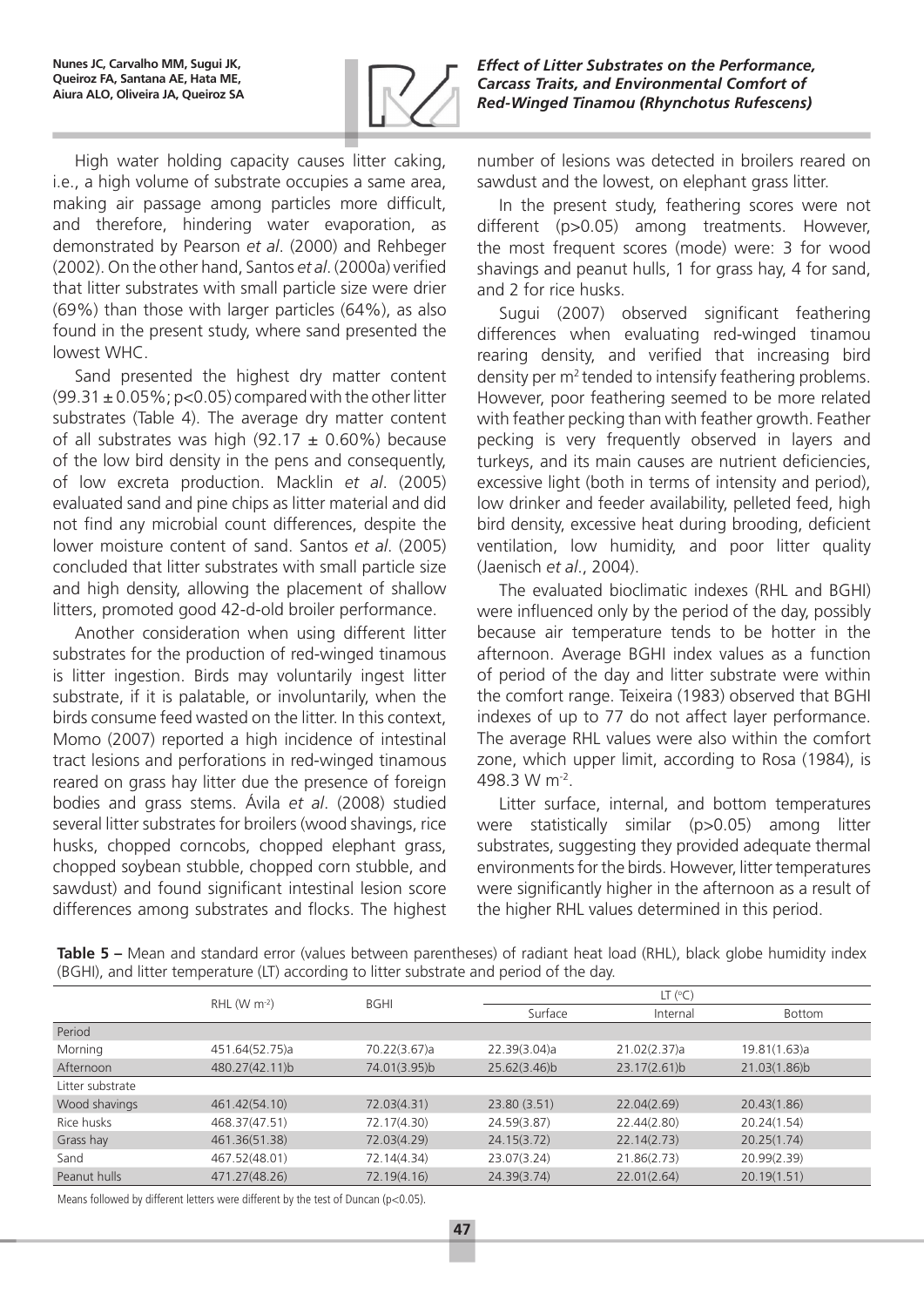

*Effect of Litter Substrates on the Performance, Carcass Traits, and Environmental Comfort of Red-Winged Tinamou (Rhynchotus Rufescens)*

High water holding capacity causes litter caking, i.e., a high volume of substrate occupies a same area, making air passage among particles more difficult, and therefore, hindering water evaporation, as demonstrated by Pearson *et al*. (2000) and Rehbeger (2002). On the other hand, Santos *et al*. (2000a) verified that litter substrates with small particle size were drier (69%) than those with larger particles (64%), as also found in the present study, where sand presented the lowest WHC.

Sand presented the highest dry matter content  $(99.31 \pm 0.05\%; p<0.05)$  compared with the other litter substrates (Table 4). The average dry matter content of all substrates was high (92.17  $\pm$  0.60%) because of the low bird density in the pens and consequently, of low excreta production. Macklin *et al*. (2005) evaluated sand and pine chips as litter material and did not find any microbial count differences, despite the lower moisture content of sand. Santos *et al*. (2005) concluded that litter substrates with small particle size and high density, allowing the placement of shallow litters, promoted good 42-d-old broiler performance.

Another consideration when using different litter substrates for the production of red-winged tinamous is litter ingestion. Birds may voluntarily ingest litter substrate, if it is palatable, or involuntarily, when the birds consume feed wasted on the litter. In this context, Momo (2007) reported a high incidence of intestinal tract lesions and perforations in red-winged tinamous reared on grass hay litter due the presence of foreign bodies and grass stems. Ávila *et al*. (2008) studied several litter substrates for broilers (wood shavings, rice husks, chopped corncobs, chopped elephant grass, chopped soybean stubble, chopped corn stubble, and sawdust) and found significant intestinal lesion score differences among substrates and flocks. The highest

number of lesions was detected in broilers reared on sawdust and the lowest, on elephant grass litter.

In the present study, feathering scores were not different (p>0.05) among treatments. However, the most frequent scores (mode) were: 3 for wood shavings and peanut hulls, 1 for grass hay, 4 for sand, and 2 for rice husks.

Sugui (2007) observed significant feathering differences when evaluating red-winged tinamou rearing density, and verified that increasing bird density per m<sup>2</sup> tended to intensify feathering problems. However, poor feathering seemed to be more related with feather pecking than with feather growth. Feather pecking is very frequently observed in layers and turkeys, and its main causes are nutrient deficiencies, excessive light (both in terms of intensity and period), low drinker and feeder availability, pelleted feed, high bird density, excessive heat during brooding, deficient ventilation, low humidity, and poor litter quality (Jaenisch *et al*., 2004).

The evaluated bioclimatic indexes (RHL and BGHI) were influenced only by the period of the day, possibly because air temperature tends to be hotter in the afternoon. Average BGHI index values as a function of period of the day and litter substrate were within the comfort range. Teixeira (1983) observed that BGHI indexes of up to 77 do not affect layer performance. The average RHL values were also within the comfort zone, which upper limit, according to Rosa (1984), is 498.3 W m-2.

Litter surface, internal, and bottom temperatures were statistically similar (p>0.05) among litter substrates, suggesting they provided adequate thermal environments for the birds. However, litter temperatures were significantly higher in the afternoon as a result of the higher RHL values determined in this period.

| .                |                             |              |              |                 |               |  |  |
|------------------|-----------------------------|--------------|--------------|-----------------|---------------|--|--|
|                  |                             |              |              | $LT$ ( $°C$ )   |               |  |  |
|                  | RHL ( $W$ m <sup>-2</sup> ) | <b>BGHI</b>  | Surface      | Internal        | <b>Bottom</b> |  |  |
| Period           |                             |              |              |                 |               |  |  |
| Morning          | 451.64(52.75)a              | 70.22(3.67)a | 22.39(3.04)a | 21.02(2.37)a    | 19.81(1.63)a  |  |  |
| Afternoon        | 480.27(42.11)b              | 74.01(3.95)b | 25.62(3.46)b | $23.17(2.61)$ b | 21.03(1.86)b  |  |  |
| Litter substrate |                             |              |              |                 |               |  |  |
| Wood shavings    | 461.42(54.10)               | 72.03(4.31)  | 23.80 (3.51) | 22.04(2.69)     | 20.43(1.86)   |  |  |
| Rice husks       | 468.37(47.51)               | 72.17(4.30)  | 24.59(3.87)  | 22.44(2.80)     | 20.24(1.54)   |  |  |
| Grass hay        | 461.36(51.38)               | 72.03(4.29)  | 24.15(3.72)  | 22.14(2.73)     | 20.25(1.74)   |  |  |
| Sand             | 467.52(48.01)               | 72.14(4.34)  | 23.07(3.24)  | 21.86(2.73)     | 20.99(2.39)   |  |  |
| Peanut hulls     | 471.27(48.26)               | 72.19(4.16)  | 24.39(3.74)  | 22.01(2.64)     | 20.19(1.51)   |  |  |

**Table 5 –** Mean and standard error (values between parentheses) of radiant heat load (RHL), black globe humidity index (BGHI), and litter temperature (LT) according to litter substrate and period of the day.

Means followed by different letters were different by the test of Duncan (p<0.05).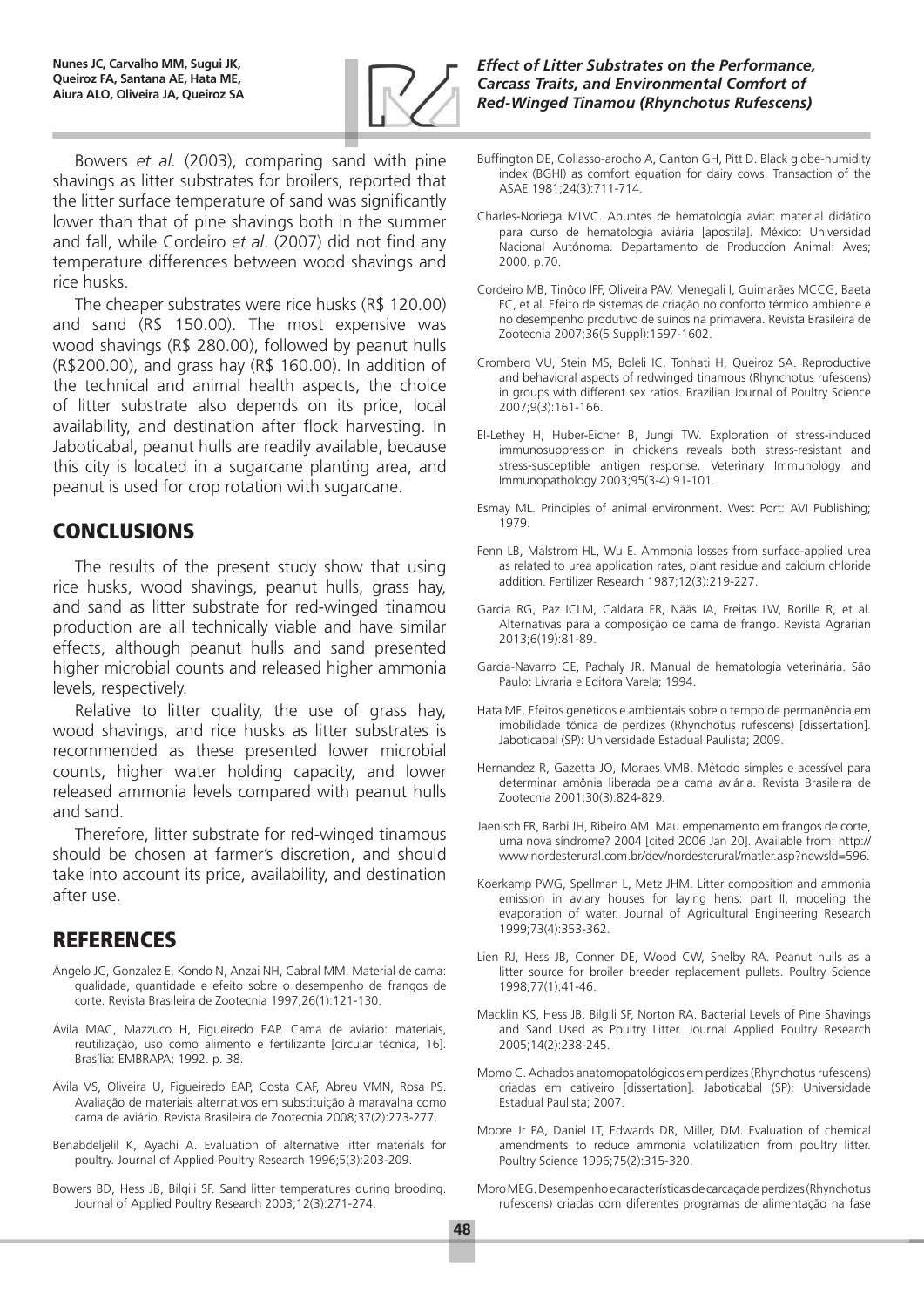

Bowers *et al.* (2003), comparing sand with pine shavings as litter substrates for broilers, reported that the litter surface temperature of sand was significantly lower than that of pine shavings both in the summer and fall, while Cordeiro *et al*. (2007) did not find any temperature differences between wood shavings and rice husks.

The cheaper substrates were rice husks (R\$ 120.00) and sand (R\$ 150.00). The most expensive was wood shavings (R\$ 280.00), followed by peanut hulls (R\$200.00), and grass hay (R\$ 160.00). In addition of the technical and animal health aspects, the choice of litter substrate also depends on its price, local availability, and destination after flock harvesting. In Jaboticabal, peanut hulls are readily available, because this city is located in a sugarcane planting area, and peanut is used for crop rotation with sugarcane.

## **CONCLUSIONS**

The results of the present study show that using rice husks, wood shavings, peanut hulls, grass hay, and sand as litter substrate for red-winged tinamou production are all technically viable and have similar effects, although peanut hulls and sand presented higher microbial counts and released higher ammonia levels, respectively.

Relative to litter quality, the use of grass hay, wood shavings, and rice husks as litter substrates is recommended as these presented lower microbial counts, higher water holding capacity, and lower released ammonia levels compared with peanut hulls and sand.

Therefore, litter substrate for red-winged tinamous should be chosen at farmer's discretion, and should take into account its price, availability, and destination after use.

### **REFERENCES**

- Ângelo JC, Gonzalez E, Kondo N, Anzai NH, Cabral MM. Material de cama: qualidade, quantidade e efeito sobre o desempenho de frangos de corte. Revista Brasileira de Zootecnia 1997;26(1):121-130.
- Ávila MAC, Mazzuco H, Figueiredo EAP. Cama de aviário: materiais, reutilização, uso como alimento e fertilizante [circular técnica, 16]. Brasília: EMBRAPA; 1992. p. 38.
- Ávila VS, Oliveira U, Figueiredo EAP, Costa CAF, Abreu VMN, Rosa PS. Avaliação de materiais alternativos em substituição à maravalha como cama de aviário. Revista Brasileira de Zootecnia 2008;37(2):273-277.
- Benabdeljelil K, Ayachi A. Evaluation of alternative litter materials for poultry. Journal of Applied Poultry Research 1996;5(3):203-209.
- Bowers BD, Hess JB, Bilgili SF. Sand litter temperatures during brooding. Journal of Applied Poultry Research 2003;12(3):271-274.
- Buffington DE, Collasso-arocho A, Canton GH, Pitt D. Black globe-humidity index (BGHI) as comfort equation for dairy cows. Transaction of the ASAE 1981;24(3):711-714.
- Charles-Noriega MLVC. Apuntes de hematología aviar: material didático para curso de hematologia aviária [apostila]. México: Universidad Nacional Autónoma. Departamento de Produccíon Animal: Aves; 2000. p.70.
- Cordeiro MB, Tinôco IFF, Oliveira PAV, Menegali I, Guimarães MCCG, Baeta FC, et al. Efeito de sistemas de criação no conforto térmico ambiente e no desempenho produtivo de suínos na primavera. Revista Brasileira de Zootecnia 2007;36(5 Suppl):1597-1602.
- Cromberg VU, Stein MS, Boleli IC, Tonhati H, Queiroz SA. Reproductive and behavioral aspects of redwinged tinamous (Rhynchotus rufescens) in groups with different sex ratios. Brazilian Journal of Poultry Science 2007;9(3):161-166.
- El-Lethey H, Huber-Eicher B, Jungi TW. Exploration of stress-induced immunosuppression in chickens reveals both stress-resistant and stress-susceptible antigen response. Veterinary Immunology and Immunopathology 2003;95(3-4):91-101.
- Esmay ML. Principles of animal environment. West Port: AVI Publishing; 1979.
- Fenn LB, Malstrom HL, Wu E. Ammonia losses from surface-applied urea as related to urea application rates, plant residue and calcium chloride addition. Fertilizer Research 1987;12(3):219-227.
- Garcia RG, Paz ICLM, Caldara FR, Nääs IA, Freitas LW, Borille R, et al. Alternativas para a composição de cama de frango. Revista Agrarian 2013;6(19):81-89.
- Garcia-Navarro CE, Pachaly JR. Manual de hematologia veterinária. São Paulo: Livraria e Editora Varela; 1994.
- Hata ME. Efeitos genéticos e ambientais sobre o tempo de permanência em imobilidade tônica de perdizes (Rhynchotus rufescens) [dissertation]. Jaboticabal (SP): Universidade Estadual Paulista; 2009.
- Hernandez R, Gazetta JO, Moraes VMB. Método simples e acessível para determinar amônia liberada pela cama aviária. Revista Brasileira de Zootecnia 2001;30(3):824-829.
- Jaenisch FR, Barbi JH, Ribeiro AM. Mau empenamento em frangos de corte, uma nova síndrome? 2004 [cited 2006 Jan 20]. Available from: http:// www.nordesterural.com.br/dev/nordesterural/matler.asp?newsld=596.
- Koerkamp PWG, Spellman L, Metz JHM. Litter composition and ammonia emission in aviary houses for laying hens: part II, modeling the evaporation of water. Journal of Agricultural Engineering Research 1999;73(4):353-362.
- Lien RJ, Hess JB, Conner DE, Wood CW, Shelby RA. Peanut hulls as a litter source for broiler breeder replacement pullets. Poultry Science 1998;77(1):41-46.
- Macklin KS, Hess JB, Bilgili SF, Norton RA. Bacterial Levels of Pine Shavings and Sand Used as Poultry Litter. Journal Applied Poultry Research 2005;14(2):238-245.
- Momo C. Achados anatomopatológicos em perdizes (Rhynchotus rufescens) criadas em cativeiro [dissertation]. Jaboticabal (SP): Universidade Estadual Paulista; 2007.
- Moore Jr PA, Daniel LT, Edwards DR, Miller, DM. Evaluation of chemical amendments to reduce ammonia volatilization from poultry litter. Poultry Science 1996;75(2):315-320.
- Moro MEG. Desempenho e características de carcaça de perdizes (Rhynchotus rufescens) criadas com diferentes programas de alimentação na fase